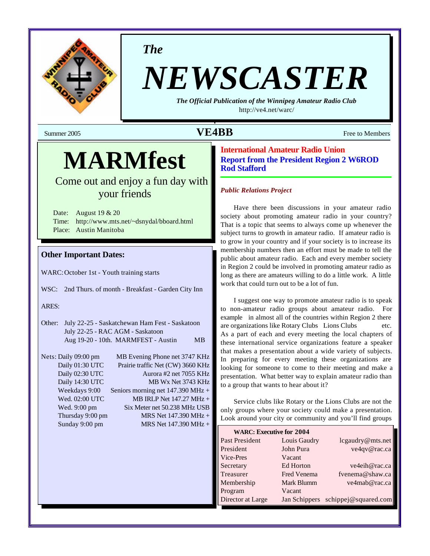

*The*

# *NEWSCASTER*

*The Official Publication of the Winnipeg Amateur Radio Club* <http://ve4.net/warc/>

## Summer 2005 **VE4BB** Free to Members

## **MARMfest**

Come out and enjoy a fun day with your friends

Date: August 19 & 20 Time: <http://www.mts.net/~dsnydal/bboard.html> Place: Austin Manitoba

## **Other Important Dates:**

WARC:October 1st - Youth training starts

WSC: 2nd Thurs. of month - Breakfast - Garden City Inn

#### ARES:

- Other: July 22-25 Saskatchewan Ham Fest Saskatoon July 22-25 - RAC AGM - Saskatoon Aug 19-20 - 10th. MARMFEST - Austin MB
- Nets: Daily 09:00 pm MB Evening Phone net 3747 KHz Daily 01:30 UTC Prairie traffic Net (CW) 3660 KHz Daily 02:30 UTC Aurora #2 net 7055 KHz Daily 14:30 UTC MB Wx Net 3743 KHz Weekdays 9:00 Seniors morning net 147.390 MHz + Wed.  $02:00$  UTC MB IRLP Net  $147.27$  MHz + Wed. 9:00 pm Six Meter net 50.238 MHz USB Thursday 9:00 pm  $MRS$  Net 147.390 MHz + Sunday 9:00 pm MRS Net 147.390 MHz +

## **International Amateur Radio Union Report from the President Region 2 W6ROD Rod Stafford**

#### *Public Relations Project*

Have there been discussions in your amateur radio society about promoting amateur radio in your country? That is a topic that seems to always come up whenever the subject turns to growth in amateur radio. If amateur radio is to grow in your country and if your society is to increase its membership numbers then an effort must be made to tell the public about amateur radio. Each and every member society in Region 2 could be involved in promoting amateur radio as long as there are amateurs willing to do a little work. A little work that could turn out to be a lot of fun.

I suggest one way to promote amateur radio is to speak to non-amateur radio groups about amateur radio. For example in almost all of the countries within Region 2 there are organizations like Rotary Clubs Lions Clubs etc. As a part of each and every meeting the local chapters of these international service organizations feature a speaker that makes a presentation about a wide variety of subjects. In preparing for every meeting these organizations are looking for someone to come to their meeting and make a presentation. What better way to explain amateur radio than to a group that wants to hear about it?

Service clubs like Rotary or the Lions Clubs are not the only groups where your society could make a presentation. Look around your city or community and you'll find groups

| <b>WARC: Executive for 2004</b> |                    |                                    |
|---------------------------------|--------------------|------------------------------------|
| Past President                  | Louis Gaudry       | lcgaudry@mts.net                   |
| President                       | John Pura          | ve4qv@rac.ca                       |
| Vice-Pres                       | Vacant             |                                    |
| Secretary                       | Ed Horton          | ve4eih@rac.ca                      |
| Treasurer                       | <b>Fred Venema</b> | fvenema@shaw.ca                    |
| Membership                      | Mark Blumm         | ve4mab@rac.ca                      |
| Program                         | Vacant             |                                    |
| Director at Large               |                    | Jan Schippers schippej@squared.com |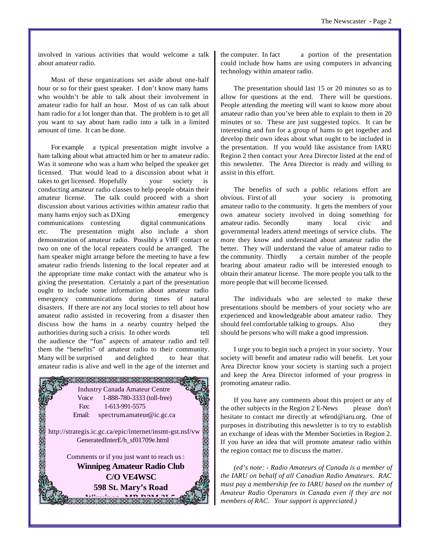involved in various activities that would welcome a talk about amateur radio.

Most of these organizations set aside about one-half hour or so for their guest speaker. I don't know many hams who wouldn't be able to talk about their involvement in amateur radio for half an hour. Most of us can talk about ham radio for a lot longer than that. The problem is to get all you want to say about ham radio into a talk in a limited amount of time. It can be done.

For example a typical presentation might involve a ham talking about what attracted him or her to amateur radio. Was it someone who was a ham who helped the speaker get licensed. That would lead to a discussion about what it takes to get licensed. Hopefully your society is conducting amateur radio classes to help people obtain their amateur license. The talk could proceed with a short discussion about various activities within amateur radio that many hams enjoy such as DXing emergency communications contesting digital communications etc. The presentation might also include a short demonstration of amateur radio. Possibly a VHF contact or two on one of the local repeaters could be arranged. The ham speaker might arrange before the meeting to have a few amateur radio friends listening to the local repeater and at the appropriate time make contact with the amateur who is giving the presentation. Certainly a part of the presentation ought to include some information about amateur radio emergency communications during times of natural disasters. If there are not any local stories to tell about how amateur radio assisted in recovering from a disaster then discuss how the hams in a nearby country helped the authorities during such a crisis. In other words tell the audience the "fun" aspects of amateur radio and tell them the "benefits" of amateur radio to their community. Many will be surprised and delighted to hear that amateur radio is alive and well in the age of the internet and



the computer. In fact a portion of the presentation could include how hams are using computers in advancing technology within amateur radio.

The presentation should last 15 or 20 minutes so as to allow for questions at the end. There will be questions. People attending the meeting will want to know more about amateur radio than you've been able to explain to them in 20 minutes or so. These are just suggested topics. It can be interesting and fun for a group of hams to get together and develop their own ideas about what ought to be included in the presentation. If you would like assistance from IARU Region 2 then contact your Area Director listed at the end of this newsletter. The Area Director is ready and willing to assist in this effort.

The benefits of such a public relations effort are obvious. First of all your society is promoting amateur radio to the community. It gets the members of your own amateur society involved in doing something for amateur radio. Secondly many local civic and governmental leaders attend meetings of service clubs. The more they know and understand about amateur radio the better. They will understand the value of amateur radio to the community. Thirdly a certain number of the people hearing about amateur radio will be interested enough to obtain their amateur license. The more people you talk to the more people that will become licensed.

The individuals who are selected to make these presentations should be members of your society who are experienced and knowledgeable about amateur radio. They should feel comfortable talking to groups. Also they should be persons who will make a good impression.

I urge you to begin such a project in your society. Your society will benefit and amateur radio will benefit. Let your Area Director know your society is starting such a project and keep the Area Director informed of your progress in promoting amateur radio.

If you have any comments about this project or any of the other subjects in the Region 2 E-News please don't hesitate to contact me directly at w6rod@iaru.org. One of purposes in distributing this newsletter is to try to establish an exchange of ideas with the Member Societies in Region 2. If you have an idea that will promote amateur radio within the region contact me to discuss the matter.

*(ed's note: - Radio Amateurs of Canada is a member of the IARU on behalf of all Canadian Radio Amateurs. RAC must pay a membership fee to IARU based on the number of Amateur Radio Operators in Canada even if they are not members of RAC. Your support is appreciated.)*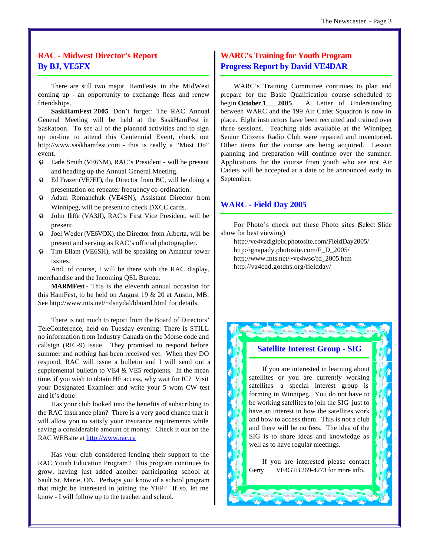## **RAC - Midwest Director's Report By BJ, VE5FX**

There are still two major HamFests in the MidWest coming up - an opportunity to exchange fleas and renew friendships.

**SaskHamFest 2005** Don't forget: The RAC Annual General Meeting will be held at the SaskHamFest in Saskatoon. To see all of the planned activities and to sign up on-line to attend this Centennial Event, check out <http://www.saskhamfest.com>- this is really a "Must Do" event.

- $\odot$  Earle Smith (VE6NM), RAC's President will be present and heading up the Annual General Meeting.
- $\odot$  Ed Frazer (VE7EF), the Director from BC, will be doing a presentation on repeater frequency co-ordination.
- $\odot$  Adam Romanchuk (VE4SN), Assistant Director from Winnipeg, will be present to check DXCC cards.
- ² John Iliffe (VA3JI), RAC's First Vice President, will be present.
- $\odot$  Joel Weder (VE6VOX), the Director from Alberta, will be present and serving as RAC's official photographer.
- $\odot$  Tim Ellam (VE6SH), will be speaking on Amateur tower issues.

And, of course, I will be there with the RAC display, merchandise and the Incoming QSL Bureau.

**MARMFest -** This is the eleventh annual occasion for this HamFest, to be held on August 19 & 20 at Austin, MB. See<http://www.mts.net/~dsnydal/bboard.html> for details.

There is not much to report from the Board of Directors' TeleConference, held on Tuesday evening: There is STILL no information from Industry Canada on the Morse code and callsign (RIC-9) issue. They promised to respond before summer and nothing has been received yet. When they DO respond, RAC will issue a bulletin and I will send out a supplemental bulletin to VE4  $&$  VE5 recipients. In the mean time, if you wish to obtain HF access, why wait for IC? Visit your Designated Examiner and write your 5 wpm CW test and it's done!

Has your club looked into the benefits of subscribing to the RAC insurance plan? There is a very good chance that it will allow you to satisfy your insurance requirements while saving a considerable amount of money. Check it out on the RAC WEBsite at<http://www.rac.ca>

Has your club considered lending their support to the RAC Youth Education Program? This program continues to grow, having just added another participating school at Sault St. Marie, ON. Perhaps you know of a school program that might be interested in joining the YEP? If so, let me know - I will follow up to the teacher and school.

## **WARC's Training for Youth Program Progress Report by David VE4DAR**

WARC's Training Committee continues to plan and prepare for the Basic Qualification course scheduled to begin **October 1 2005**. A Letter of Understanding between WARC and the 199 Air Cadet Squadron is now in place. Eight instructors have been recruited and trained over three sessions. Teaching aids available at the Winnipeg Senior Citizens Radio Club were repaired and inventoried. Other items for the course are being acquired. Lesson planning and preparation will continue over the summer. Applications for the course from youth who are not Air Cadets will be accepted at a date to be announced early in September.

## **WARC - Field Day 2005**

For Photo's check out these Photo sites Select Slide show for best viewing)

<http://ve4vzdigipix.photosite.com/FieldDay2005/> [http://gnapady.photosite.com/F\\_D\\_2005/](http://gnapady.photosite.com/F_D_2005/) [http://www.mts.net/~ve4wsc/fd\\_2005.htm](http://www.mts.net/~ve4wsc/fd_2005.htm) <http://va4cqd.gotdns.org/fieldday/>

## **Satellite Interest Group - SIG**

If you are interested in learning about satellites or you are currently working satellites a special interest group is forming in Winnipeg. You do not have to be working satellites to join the SIG just to have an interest in how the satellites work and how to access them. This is not a club and there will be no fees. The idea of the SIG is to share ideas and knowledge as well as to have regular meetings.

If you are interested please contact Gerry VE4GTB 269-4273 for more info.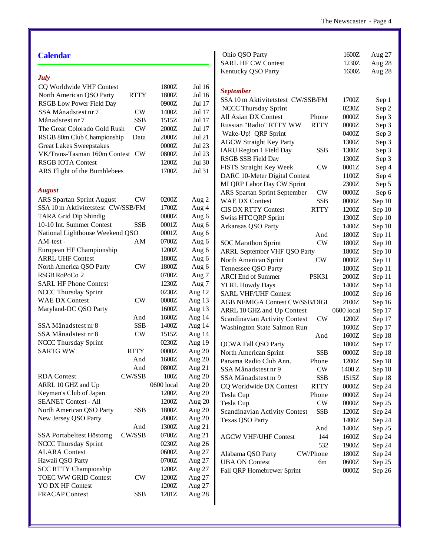| <b>Calendar</b>                          |               |            |               | Ohio QSO Party                                     | 1600Z      | Aug 27           |
|------------------------------------------|---------------|------------|---------------|----------------------------------------------------|------------|------------------|
|                                          |               |            |               | <b>SARL HF CW Contest</b>                          | 1230Z      | Aug 28           |
| <b>July</b>                              |               |            |               | Kentucky QSO Party                                 | 1600Z      | Aug 28           |
| CQ Worldwide VHF Contest                 |               | 1800Z      | Jul 16        |                                                    |            |                  |
| North American QSO Party                 | <b>RTTY</b>   | 1800Z      | Jul 16        | <b>September</b>                                   |            |                  |
| <b>RSGB</b> Low Power Field Day          |               | 0900Z      | Jul 17        | SSA 10 m Aktivitetstest CW/SSB/FM                  | 1700Z      | Sep 1            |
| SSA Månadstest nr 7                      | <b>CW</b>     | 1400Z      | Jul 17        | NCCC Thursday Sprint                               | 0230Z      | Sep 2            |
| Månadstest nr 7                          | <b>SSB</b>    | 1515Z      | Jul 17        | All Asian DX Contest<br>Phone                      | $0000Z$    | Sep 3            |
|                                          |               |            |               | <b>RTTY</b><br>Russian "Radio" RTTY WW             | $0000Z$    | Sep 3            |
| The Great Colorado Gold Rush             | <b>CW</b>     | 2000Z      | Jul 17        | Wake-Up! QRP Sprint                                | 0400Z      | Sep 3            |
| RSGB 80m Club Championship               | Data          | 2000Z      | <b>Jul 21</b> | <b>AGCW Straight Key Party</b>                     | 1300Z      | Sep 3            |
| <b>Great Lakes Sweepstakes</b>           |               | 0000Z      | Jul 23        | <b>IARU Region 1 Field Day</b><br><b>SSB</b>       | 1300Z      | Sep 3            |
| VK/Trans-Tasman 160m Contest CW          |               | 0800Z      | Jul 23        | RSGB SSB Field Day                                 | 1300Z      | Sep 3            |
| <b>RSGB IOTA Contest</b>                 |               | 1200Z      | Jul 30        | FISTS Straight Key Week<br><b>CW</b>               | $0001Z$    | Sep 4            |
| ARS Flight of the Bumblebees             |               | 1700Z      | Jul 31        | DARC 10-Meter Digital Contest                      | 1100Z      | Sep 4            |
|                                          |               |            |               | MI QRP Labor Day CW Sprint                         | 2300Z      | Sep 5            |
| <b>August</b>                            |               |            |               | <b>ARS Spartan Sprint September</b><br>CW          | $0000Z$    | Sep 6            |
| <b>ARS Spartan Sprint August</b>         | <b>CW</b>     | 0200Z      | Aug 2         | <b>WAE DX Contest</b><br><b>SSB</b>                | $0000Z$    | Sep 10           |
| SSA 10 m Aktivitetstest CW/SSB/FM        |               | 1700Z      | Aug 4         | <b>RTTY</b><br><b>CIS DX RTTY Contest</b>          | 1200Z      | Sep 10           |
| TARA Grid Dip Shindig                    |               | $0000Z$    | Aug 6         | <b>Swiss HTC QRP Sprint</b>                        | 1300Z      | Sep 10           |
| 10-10 Int. Summer Contest                | <b>SSB</b>    | 0001Z      | Aug 6         | Arkansas QSO Party                                 | 1400Z      | Sep 10           |
| National Lighthouse Weekend QSO          |               | 0001Z      | Aug 6         | And                                                | 1800Z      | Sep 11           |
| AM-test -                                | AM            | 0700Z      | Aug 6         | CW<br><b>SOC Marathon Sprint</b>                   | 1800Z      | Sep 10           |
| European HF Championship                 |               | 1200Z      | Aug 6         | <b>ARRL September VHF QSO Party</b>                | 1800Z      | Sep 10           |
| <b>ARRL UHF Contest</b>                  |               | 1800Z      | Aug 6         | North American Sprint<br><b>CW</b>                 | $0000Z$    | Sep 11           |
| North America QSO Party                  | <b>CW</b>     | 1800Z      | Aug 6         | Tennessee QSO Party                                | 1800Z      |                  |
| RSGB RoPoCo 2                            |               | 0700Z      | Aug 7         | PSK31<br><b>ARCI</b> End of Summer                 | $2000Z$    | Sep 11           |
| <b>SARL HF Phone Contest</b>             |               | 1230Z      | Aug 7         |                                                    | 1400Z      | Sep 11<br>Sep 14 |
| <b>NCCC Thursday Sprint</b>              |               | 0230Z      | Aug 12        | <b>YLRL Howdy Days</b>                             | 1000Z      |                  |
| <b>WAE DX Contest</b>                    | ${\rm\bf CW}$ | $0000Z$    | Aug 13        | <b>SARL VHF/UHF Contest</b>                        |            | Sep 16           |
| Maryland-DC QSO Party                    |               | 1600Z      | Aug 13        | AGB NEMIGA Contest CW/SSB/DIGI                     | 2100Z      | Sep 16           |
|                                          | And           | 1600Z      | Aug 14        | ARRL 10 GHZ and Up Contest                         | 0600 local | Sep 17           |
| SSA Månadstest nr 8                      | <b>SSB</b>    | 1400Z      | Aug 14        | Scandinavian Activity Contest<br>CW                | 1200Z      | Sep 17           |
| SSA Månadstest nr 8                      | <b>CW</b>     | 1515Z      | Aug 14        | Washington State Salmon Run                        | 1600Z      | Sep 17           |
| NCCC Thursday Sprint                     |               | 0230Z      | Aug 19        | And                                                | 1600Z      | Sep 18           |
| <b>SARTG WW</b>                          | <b>RTTY</b>   | $0000Z$    | Aug 20        | QCWA Fall QSO Party                                | 1800Z      | Sep 17           |
|                                          | And           | 1600Z      | Aug 20        | North American Sprint<br><b>SSB</b>                | $0000Z$    | Sep 18           |
|                                          | And           | 0800Z      |               | Panama Radio Club Ann.<br>Phone                    | 1200Z      | Sep 18           |
|                                          | CW/SSB        | 100Z       | Aug 21        | <b>CW</b><br>SSA Månadstest nr 9                   | 1400 Z     | Sep 18           |
| <b>RDA</b> Contest<br>ARRL 10 GHZ and Up |               | 0600 local | Aug 20        | SSA Månadstest nr 9<br><b>SSB</b>                  | 1515Z      | Sep 18           |
|                                          |               |            | Aug 20        | CQ Worldwide DX Contest<br><b>RTTY</b>             | $0000Z$    | Sep 24           |
| Keyman's Club of Japan                   |               | 1200Z      | Aug 20        | Tesla Cup<br>Phone                                 | 0000Z      | Sep 24           |
| <b>SEANET Contest - All</b>              |               | 1200Z      | Aug 20        | $\mathrm{CW}$<br>Tesla Cup                         | $0000Z$    | Sep 25           |
| North American QSO Party                 | <b>SSB</b>    | 1800Z      | Aug 20        | <b>Scandinavian Activity Contest</b><br><b>SSB</b> | 1200Z      | Sep 24           |
| New Jersey QSO Party                     |               | $2000Z$    | Aug 20        | <b>Texas QSO Party</b>                             | 1400Z      | Sep 24           |
|                                          | And           | 1300Z      | Aug 21        | And                                                | 1400Z      | Sep 25           |
| SSA Portabeltest Höstomg                 | CW/SSB        | 0700Z      | Aug 21        | <b>AGCW VHF/UHF Contest</b><br>144                 | 1600Z      | Sep 24           |
| NCCC Thursday Sprint                     |               | 0230Z      | Aug 26        | 532                                                | 1900Z      | Sep 24           |
| <b>ALARA Contest</b>                     |               | 0600Z      | Aug 27        | Alabama QSO Party<br>CW/Phone                      | 1800Z      | Sep 24           |
| Hawaii QSO Party                         |               | 0700Z      | Aug 27        | <b>UBA ON Contest</b><br>6m                        | 0600Z      | Sep 25           |
| <b>SCC RTTY Championship</b>             |               | 1200Z      | Aug 27        | Fall QRP Homebrewer Sprint                         | 0000Z      | Sep 26           |
| <b>TOEC WW GRID Contest</b>              | <b>CW</b>     | 1200Z      | Aug 27        |                                                    |            |                  |
| YO DX HF Contest                         |               | 1200Z      | Aug 27        |                                                    |            |                  |
| <b>FRACAP Contest</b>                    | <b>SSB</b>    | 1201Z      | Aug 28        |                                                    |            |                  |
|                                          |               |            |               |                                                    |            |                  |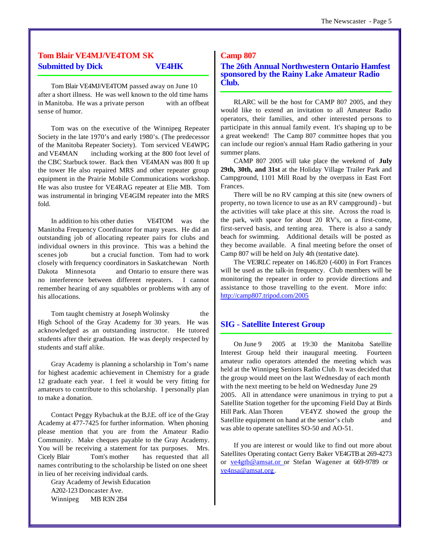## **Tom Blair VE4MJ/VE4TOM SK Submitted by Dick VE4HK**

Tom Blair VE4MJ/VE4TOM passed away on June 10 after a short illness. He was well known to the old time hams in Manitoba. He was a private person with an offbeat sense of humor.

Tom was on the executive of the Winnipeg Repeater Society in the late 1970's and early 1980's. (The predecessor of the Manitoba Repeater Society). Tom serviced VE4WPG and VE4MAN including working at the 800 foot level of the CBC Starbuck tower. Back then VE4MAN was 800 ft up the tower He also repaired MRS and other repeater group equipment in the Prairie Mobile Communications workshop. He was also trustee for VE4RAG repeater at Elie MB. Tom was instrumental in bringing VE4GIM repeater into the MRS fold.

In addition to his other duties VE4TOM was the Manitoba Frequency Coordinator for many years. He did an outstanding job of allocating repeater pairs for clubs and individual owners in this province. This was a behind the scenes job but a crucial function. Tom had to work closely with frequency coordinators in Saskatchewan North Dakota Minnesota and Ontario to ensure there was no interference between different repeaters. I cannot remember hearing of any squabbles or problems with any of his allocations.

Tom taught chemistry at Joseph Wolinsky the High School of the Gray Academy for 30 years. He was acknowledged as an outstanding instructor. He tutored students after their graduation. He was deeply respected by students and staff alike.

Gray Academy is planning a scholarship in Tom's name for highest academic achievement in Chemistry for a grade 12 graduate each year. I feel it would be very fitting for amateurs to contribute to this scholarship. I personally plan to make a donation.

Contact Peggy Rybachuk at the B.J.E. off ice of the Gray Academy at 477-7425 for further information. When phoning please mention that you are from the Amateur Radio Community. Make cheques payable to the Gray Academy. You will be receiving a statement for tax purposes. Mrs. Cicely Blair Tom's mother has requested that all names contributing to the scholarship be listed on one sheet in lieu of her receiving individual cards.

Gray Academy of Jewish Education A202-123 Doncaster Ave. Winnipeg MB R3N 2B4

## **Camp 807**

**The 26th Annual Northwestern Ontario Hamfest sponsored by the Rainy Lake Amateur Radio Club.** 

RLARC will be the host for CAMP 807 2005, and they would like to extend an invitation to all Amateur Radio operators, their families, and other interested persons to participate in this annual family event. It's shaping up to be a great weekend! The Camp 807 committee hopes that you can include our region's annual Ham Radio gathering in your summer plans.

CAMP 807 2005 will take place the weekend of **July 29th, 30th, and 31st** at the Holiday Village Trailer Park and Campground, 1101 Mill Road by the overpass in East Fort Frances.

There will be no RV camping at this site (new owners of property, no town licence to use as an RV campground) - but the activities will take place at this site. Across the road is the park, with space for about 20 RV's, on a first-come, first-served basis, and tenting area. There is also a sandy beach for swimming. Additional details will be posted as they become available. A final meeting before the onset of Camp 807 will be held on July 4th (tentative date).

The VE3RLC repeater on 146.820 (-600) in Fort Frances will be used as the talk-in frequency. Club members will be monitoring the repeater in order to provide directions and assistance to those travelling to the event. More info: <http://camp807.tripod.com/2005>

## **SIG - Satellite Interest Group**

On June 9 2005 at 19:30 the Manitoba Satellite Interest Group held their inaugural meeting. Fourteen amateur radio operators attended the meeting which was held at the Winnipeg Seniors Radio Club. It was decided that the group would meet on the last Wednesday of each month with the next meeting to be held on Wednesday June 29 2005. All in attendance were unanimous in trying to put a Satellite Station together for the upcoming Field Day at Birds Hill Park. Alan Thoren VE4YZ showed the group the Satellite equipment on hand at the senior's club and was able to operate satellites SO-50 and AO-51.

If you are interest or would like to find out more about Satellites Operating contact Gerry Baker VE4GTB at 269-4273 or ve4gtb@amsat.or or Stefan Wagener at 669-9789 or ve4nsa@amsat.org.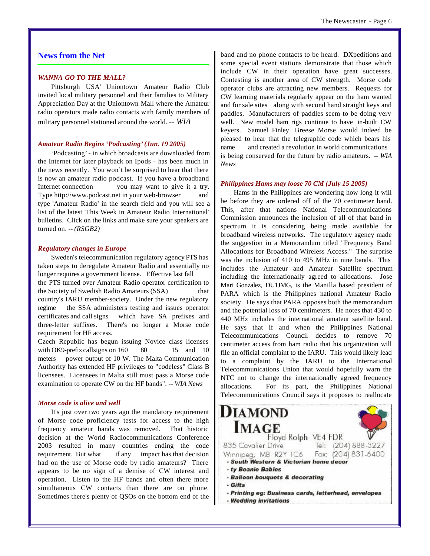## **News from the Net**

#### *WANNA GO TO THE MALL?*

Pittsburgh USA' Uniontown Amateur Radio Club invited local military personnel and their families to Military Appreciation Day at the Uniontown Mall where the Amateur radio operators made radio contacts with family members of military personnel stationed around the world. *-- WIA*

#### *Amateur Radio Begins 'Podcasting' (Jun. 19 2005)*

'Podcasting' - in which broadcasts are downloaded from the Internet for later playback on Ipods - has been much in the news recently. You won't be surprised to hear that there is now an amateur radio podcast. If you have a broadband Internet connection you may want to give it a try. Type<http://www.podcast.net>in your web-browser and type 'Amateur Radio' in the search field and you will see a list of the latest 'This Week in Amateur Radio International' bulletins. Click on the links and make sure your speakers are turned on. *-- (RSGB2)*

#### *Regulatory changes in Europe*

Sweden's telecommunication regulatory agency PTS has taken steps to deregulate Amateur Radio and essentially no longer requires a government license. Effective last fall the PTS turned over Amateur Radio operator certification to the Society of Swedish Radio Amateurs (SSA) that country's IARU member-society. Under the new regulatory regime the SSA administers testing and issues operator certificates and call signs which have SA prefixes and three-letter suffixes. There's no longer a Morse code requirement for HF access.

Czech Republic has begun issuing Novice class licenses with OK9-prefix callsigns on  $160$  80 15 and 10 meters power output of 10 W. The Malta Communication Authority has extended HF privileges to "codeless" Class B licensees. Licensees in Malta still must pass a Morse code examination to operate CW on the HF bands". *-- WIA News*

#### *Morse code is alive and well*

It's just over two years ago the mandatory requirement of Morse code proficiency tests for access to the high frequency amateur bands was removed. That historic decision at the World Radiocommunications Conference 2003 resulted in many countries ending the code requirement. But what if any impact has that decision had on the use of Morse code by radio amateurs? There appears to be no sign of a demise of CW interest and operation. Listen to the HF bands and often there more simultaneous CW contacts than there are on phone. Sometimes there's plenty of QSOs on the bottom end of the band and no phone contacts to be heard. DXpeditions and some special event stations demonstrate that those which include CW in their operation have great successes. Contesting is another area of CW strength. Morse code operator clubs are attracting new members. Requests for CW learning materials regularly appear on the ham wanted and for sale sites along with second hand straight keys and paddles. Manufacturers of paddles seem to be doing very well. New model ham rigs continue to have in-built CW keyers. Samuel Finley Breese Morse would indeed be pleased to hear that the telegraphic code which bears his name and created a revolution in world communications is being conserved for the future by radio amateurs. *-- WIA News*

#### *Philippines Hams may loose 70 CM (July 15 2005)*

Hams in the Philippines are wondering how long it will be before they are ordered off of the 70 centimeter band. This, after that nations National Telecommunications Commission announces the inclusion of all of that band in spectrum it is considering being made available for broadband wireless networks. The regulatory agency made the suggestion in a Memorandum titled "Frequency Band Allocations for Broadband Wireless Access." The surprise was the inclusion of 410 to 495 MHz in nine bands. This includes the Amateur and Amateur Satellite spectrum including the internationally agreed to allocations. Jose Mari Gonzalez, DU1JMG, is the Manilla based president of PARA which is the Philippines national Amateur Radio society. He says that PARA opposes both the memorandum and the potential loss of 70 centimeters. He notes that 430 to 440 MHz includes the international amateur satellite band. He says that if and when the Philippines National Telecommunications Council decides to remove 70 centimeter access from ham radio that his organization will file an official complaint to the IARU. This would likely lead to a complaint by the IARU to the International Telecommunications Union that would hopefully warn the NTC not to change the internationally agreed frequency allocations. For its part, the Philippines National Telecommunications Council says it proposes to reallocate

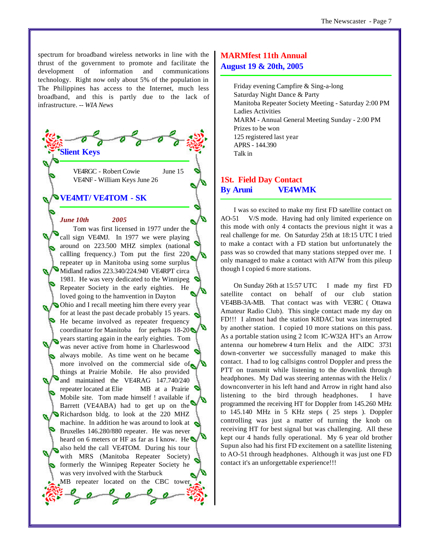spectrum for broadband wireless networks in line with the thrust of the government to promote and facilitate the development of information and communications technology. Right now only about 5% of the population in The Philippines has access to the Internet, much less broadband, and this is partly due to the lack of infrastructure. *-- WIA News*

> VE4RGC - Robert Cowie June 15 VE4NF - William Keys June 26

#### **VE4MT/ VE4TOM - SK**

**Slient Keys**

#### *June 10th 2005*

Tom was first licensed in 1977 under the call sign VE4MJ. In 1977 we were playing around on 223.500 MHZ simplex (national callling frequency.) Tom put the first 220 repeater up in Manitoba using some surplus Midland radios 223.340/224.940 VE4RPT circa 1981. He was very dedicated to the Winnipeg Repeater Society in the early eighties. He loved going to the hamvention in Dayton Ohio and I recall meeting him there every year for at least the past decade probably 15 years. He became involved as repeater frequency coordinator for Manitoba for perhaps  $18-20$ years starting again in the early eighties. Tom was never active from home in Charleswood always mobile. As time went on he became more involved on the commercial side of things at Prairie Mobile. He also provided and maintained the VE4RAG 147.740/240 repeater located at Elie MB at a Prairie Mobile site. Tom made himself ! available if Barrett (VE4ABA) had to get up on the Richardson bldg. to look at the 220 MHZ machine. In addition he was around to look at Bruxelles 146.280/880 repeater. He was never heard on 6 meters or HF as far as I know. He also held the call VE4TOM. During his tour with MRS (Manitoba Repeater Society) formerly the Winnipeg Repeater Society he was very involved with the Starbuck MB repeater located on the CBC tower  $146$ 

## **MARMfest 11th Annual August 19 & 20th, 2005**

Friday evening Campfire & Sing-a-long Saturday Night Dance & Party Manitoba Repeater Society Meeting - Saturday 2:00 PM Ladies Activities MARM - Annual General Meeting Sunday - 2:00 PM Prizes to be won 125 registered last year APRS - 144.390 Talk in

## **1St. Field Day Contact By Aruni VE4WMK**

I was so excited to make my first FD satellite contact on AO-51 V/S mode. Having had only limited experience on this mode with only 4 contacts the previous night it was a real challenge for me. On Saturday 25th at 18:15 UTC I tried to make a contact with a FD station but unfortunately the pass was so crowded that many stations stepped over me. I only managed to make a contact with AI7W from this pileup though I copied 6 more stations.

On Sunday 26th at 15:57 UTC I made my first FD satellite contact on behalf of our club station VE4BB-3A-MB. That contact was with VE3RC ( Ottawa Amateur Radio Club). This single contact made my day on FD!!! I almost had the station K8DAC but was interrupted by another station. I copied 10 more stations on this pass. As a portable station using 2 Icom IC-W32A HT's an Arrow antenna our homebrew 4 turn Helix and the AIDC 3731 down-converter we successfully managed to make this contact. I had to log callsigns control Doppler and press the PTT on transmit while listening to the downlink through headphones. My Dad was steering antennas with the Helix / downconverter in his left hand and Arrow in right hand also listening to the bird through headphones. I have programmed the receiving HT for Doppler from 145.260 MHz to 145.140 MHz in 5 KHz steps ( 25 steps ). Doppler controlling was just a matter of turning the knob on receiving HT for best signal but was challenging. All these kept our 4 hands fully operational. My 6 year old brother Supun also had his first FD excitement on a satellite listening to AO-51 through headphones. Although it was just one FD contact it's an unforgettable experience!!!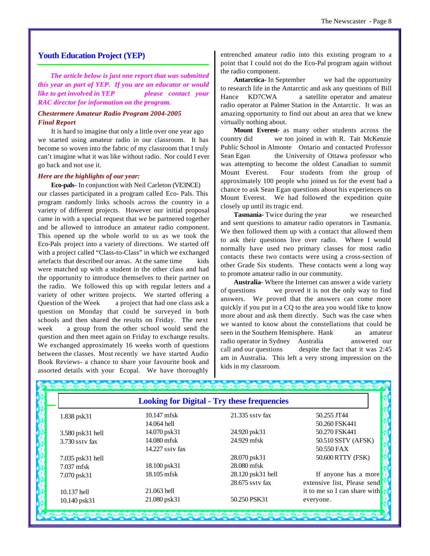#### **Youth Education Project (YEP)**

*The article below is just one report that was submitted this year as part of YEP. If you are an educator or would like to get involved in YEP please contact your RAC director for information on the program.*

#### *Chestermere Amateur Radio Program 2004-2005 Final Report*

It is hard to imagine that only a little over one year ago we started using amateur radio in our classroom. It has become so woven into the fabric of my classroom that I truly can't imagine what it was like without radio. Nor could I ever go back and not use it.

#### *Here are the highlights of our year:*

**Eco-pals**- In conjunction with Neil Carleton (VE3NCE) our classes participated in a program called Eco- Pals. This program randomly links schools across the country in a variety of different projects. However our initial proposal came in with a special request that we be partnered together and be allowed to introduce an amateur radio component. This opened up the whole world to us as we took the Eco-Pals project into a variety of directions. We started off with a project called "Class-to-Class" in which we exchanged artefacts that described our areas. At the same time kids were matched up with a student in the other class and had the opportunity to introduce themselves to their partner on the radio. We followed this up with regular letters and a variety of other written projects. We started offering a Question of the Week a project that had one class ask a question on Monday that could be surveyed in both schools and then shared the results on Friday. The next week a group from the other school would send the question and then meet again on Friday to exchange results. We exchanged approximately 16 weeks worth of questions between the classes. Most recently we have started Audio Book Reviews- a chance to share your favourite book and assorted details with your Ecopal. We have thoroughly

entrenched amateur radio into this existing program to a point that I could not do the Eco-Pal program again without the radio component.

**Antarctica-** In September we had the opportunity to research life in the Antarctic and ask any questions of Bill Hance KD7CWA a satellite operator and amateur radio operator at Palmer Station in the Antarctic. It was an amazing opportunity to find out about an area that we knew virtually nothing about.

**Mount Everest-** as many other students across the country did we too joined in with R. Tait McKenzie Public School in Almonte Ontario and contacted Professor Sean Egan the University of Ottawa professor who was attempting to become the oldest Canadian to summit Mount Everest. Four students from the group of approximately 100 people who joined us for the event had a chance to ask Sean Egan questions about his experiences on Mount Everest. We had followed the expedition quite closely up until its tragic end.

**Tasmania-** Twice during the year we researched and sent questions to amateur radio operators in Tasmania. We then followed them up with a contact that allowed them to ask their questions live over radio. Where I would normally have used two primary classes for most radio contacts these two contacts were using a cross-section of other Grade Six students. These contacts went a long way to promote amateur radio in our community.

**Australia-** Where the Internet can answer a wide variety of questions we proved it is not the only way to find answers. We proved that the answers can come more quickly if you put in a CQ to the area you would like to know more about and ask them directly. Such was the case when we wanted to know about the constellations that could be seen in the Southern Hemisphere. Hank an amateur radio operator in Sydney Australia answered our call and our questions despite the fact that it was 2:45 am in Australia. This left a very strong impression on the kids in my classroom.

| <b>Looking for Digital - Try these frequencies</b> |                 |                   |                              |  |  |  |  |
|----------------------------------------------------|-----------------|-------------------|------------------------------|--|--|--|--|
| 1.838 psk31                                        | $10.147$ mfsk   | 21.335 ssty fax   | 50.255 JT44                  |  |  |  |  |
|                                                    | 14.064 hell     |                   | 50.260 FSK441                |  |  |  |  |
| 3.580 psk31 hell                                   | 14.070 psk31    | 24.920 psk31      | 50.270 FSK441                |  |  |  |  |
| 3.730 sstv fax                                     | 14.080 mfsk     | 24.929 mfsk       | 50.510 SSTV (AFSK)           |  |  |  |  |
|                                                    | 14.227 ssty fax |                   | 50.550 FAX                   |  |  |  |  |
| 7.035 psk31 hell                                   |                 | 28.070 psk31      | 50.600 RTTY (FSK)            |  |  |  |  |
| 7.037 mfsk                                         | 18.100 psk31    | 28.080 mfsk       |                              |  |  |  |  |
| 7.070 psk31                                        | 18.105 mfsk     | 28.120 psk31 hell | If anyone has a more         |  |  |  |  |
|                                                    |                 | 28.675 ssty fax   | extensive list, Please send  |  |  |  |  |
| 10.137 hell                                        | 21.063 hell     |                   | it to me so I can share with |  |  |  |  |
| 10.140 psk31                                       | 21.080 psk31    | 50.250 PSK31      | everyone.                    |  |  |  |  |